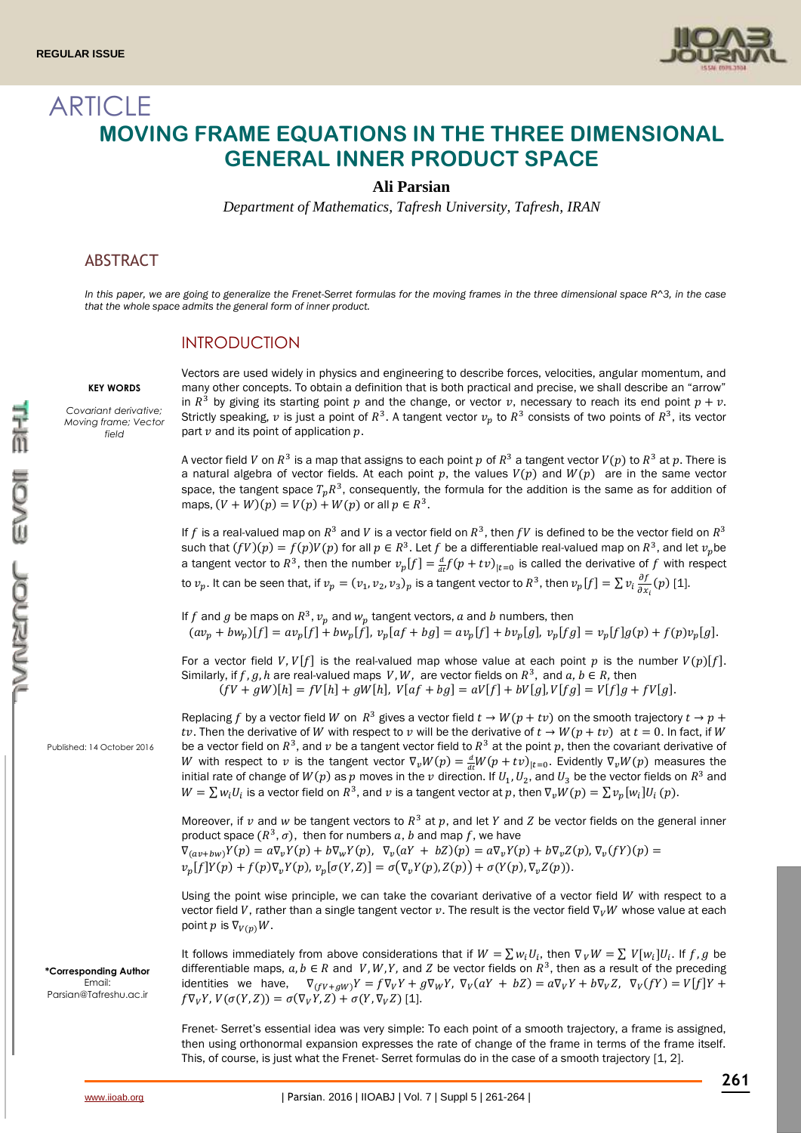

# ARTICLE **MOVING FRAME EQUATIONS IN THE THREE DIMENSIONAL GENERAL INNER PRODUCT SPACE**

### **Ali Parsian**

*Department of Mathematics, Tafresh University, Tafresh, IRAN*

### ABSTRACT

*In this paper, we are going to generalize the Frenet-Serret formulas for the moving frames in the three dimensional space R^3, in the case that the whole space admits the general form of inner product.*

### **INTRODUCTION**

#### **KEY WORDS**

*Covariant derivative; Moving frame; Vector field*

Vectors are used widely in physics and engineering to describe forces, velocities, angular momentum, and many other concepts. To obtain a definition that is both practical and precise, we shall describe an "arrow" in  $R^3$  by giving its starting point p and the change, or vector v, necessary to reach its end point  $p + v$ . Strictly speaking,  $v$  is just a point of  $R^3$ . A tangent vector  $v_p$  to  $R^3$  consists of two points of  $R^3$ , its vector part  $\nu$  and its point of application  $p$ .

A vector field  $V$  on  $R^3$  is a map that assigns to each point  $p$  of  $R^3$  a tangent vector  $V(p)$  to  $R^3$  at  $p.$  There is a natural algebra of vector fields. At each point  $p$ , the values  $V(p)$  and  $W(p)$  are in the same vector space, the tangent space  $T_pR^3$ , consequently, the formula for the addition is the same as for addition of maps,  $(V + W)(p) = V(p) + W(p)$  or all  $p \in R^3$ .

If f is a real-valued map on  $R^3$  and V is a vector field on  $R^3$ , then fV is defined to be the vector field on  $R^3$ such that  $(fV)(p) = f(p)V(p)$  for all  $p \in R^3$ . Let  $f$  be a differentiable real-valued map on  $R^3$ , and let  $v_p$ be a tangent vector to  $R^3$ , then the number  $v_p[f] = \frac{d}{dt} f(p + tv)_{|t=0}$  is called the derivative of f with respect to  $v_p.$  It can be seen that, if  $v_p=(v_1,v_2,v_3)_p$  is a tangent vector to  $R^3,$  then  $v_p[f]=\sum v_i\frac{\partial f}{\partial x}$  $\frac{\partial f}{\partial x_i}(p)$  [1].

If f and g be maps on  $R^3$ ,  $v_p$  and  $w_p$  tangent vectors, a and b numbers, then  $(av_p + bw_p)[f] = av_p[f] + bw_p[f], v_p[af + bg] = av_p[f] + bv_p[g], v_p[fg] = v_p[f]g(p) + f(p)v_p[g].$ 

For a vector field *V*, *V*[f] is the real-valued map whose value at each point *p* is the number *V*(*p*)[f]. Similarly, if  $f$ ,  $g$ ,  $h$  are real-valued maps  $V$ ,  $W$ , are vector fields on  $R^3$ , and  $a, b \in R$ , then  $(fV + gW)[h] = fV[h] + gW[h], V[af + bg] = aV[f] + bV[g], V[fg] = V[f]g + fV[g].$ 

Replacing f by a vector field W on  $R^3$  gives a vector field  $t \to W(p + tv)$  on the smooth trajectory  $t \to p +$ tv. Then the derivative of W with respect to v will be the derivative of  $t \to W(p + tv)$  at  $t = 0$ . In fact, if W be a vector field on  $R^3$ , and  $\nu$  be a tangent vector field to  $R^3$  at the point  $p$ , then the covariant derivative of W with respect to v is the tangent vector  $\nabla_v W(p) = \frac{d}{dt} W(p + tv)_{|t=0}$ . Evidently  $\nabla_v W(p)$  measures the initial rate of change of  $W(p)$  as  $p$  moves in the  $v$  direction. If  $U_1,U_2,$  and  $U_3$  be the vector fields on  $R^3$  and  $W = \sum w_i U_i$  is a vector field on  $R^3$ , and  $\nu$  is a tangent vector at  $p$ , then  $\nabla_\nu W(p) = \sum v_p [w_i] U_i(p)$ .

Moreover, if v and w be tangent vectors to  $R^3$  at p, and let Y and Z be vector fields on the general inner product space  $(R^3, \sigma)$ , then for numbers a, b and map f, we have  $\nabla_{(av+bw)} Y(p) = a \nabla_v Y(p) + b \nabla_w Y(p), \ \nabla_v (aY + bZ)(p) = a \nabla_v Y(p) + b \nabla_v Z(p), \nabla_v (fY)(p) =$ 

$$
v_p[f]Y(p) + f(p)\nabla_v Y(p), v_p[\sigma(Y, Z)] = \sigma(\nabla_v Y(p), Z(p)) + \sigma(Y(p), \nabla_v Z(p)).
$$

Using the point wise principle, we can take the covariant derivative of a vector field  $W$  with respect to a vector field V, rather than a single tangent vector v. The result is the vector field  $\nabla_{\nu}W$  whose value at each point  $p$  is  $\nabla_{V(n)}W$ .

It follows immediately from above considerations that if  $W = \sum w_i U_i$ , then  $\nabla_V W = \sum V[w_i] U_i$ . If  $f, g$  be differentiable maps,  $a, b \in R$  and V, W, Y, and Z be vector fields on  $R^3$ , then as a result of the preceding identities we have,  $\nabla_{(fV+gW)}Y = f\nabla_V Y + g\nabla_W Y$ ,  $\nabla_V(aY + bZ) = a\nabla_V Y + b\nabla_V Z$ ,  $\nabla_V(fY) = V[f]Y + g\nabla_V fY$  $f \nabla_V Y$ ,  $V(\sigma(Y, Z)) = \sigma(\nabla_V Y, Z) + \sigma(Y, \nabla_V Z)$  [1].

Frenet- Serret's essential idea was very simple: To each point of a smooth trajectory, a frame is assigned, then using orthonormal expansion expresses the rate of change of the frame in terms of the frame itself. This, of course, is just what the Frenet- Serret formulas do in the case of a smooth trajectory [1, 2].

Published: 14 October 2016

**\*Corresponding Author** Email: [Parsian@Tafreshu.ac.ir](mailto:Parsian@Tafreshu.ac.ir)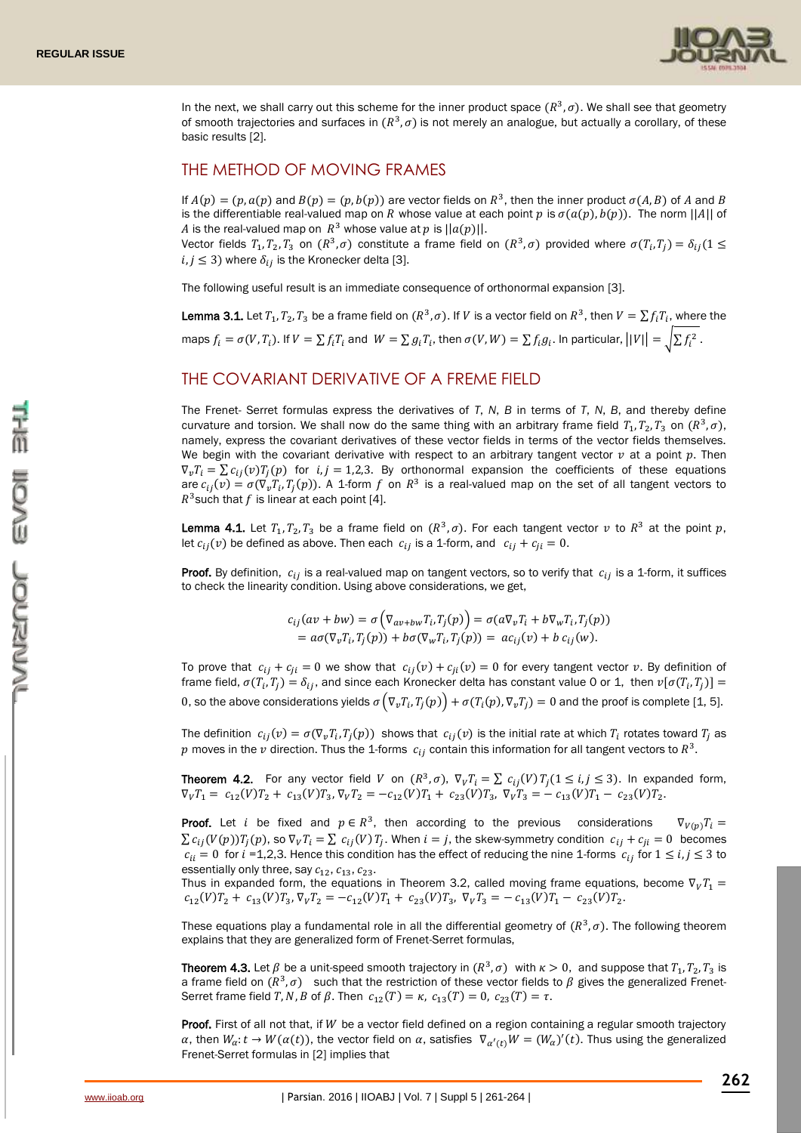

In the next, we shall carry out this scheme for the inner product space  $(R^3, \sigma)$ . We shall see that geometry of smooth trajectories and surfaces in  $(R^3, \sigma)$  is not merely an analogue, but actually a corollary, of these basic results [2].

## THE METHOD OF MOVING FRAMES

If  $A(p) = (p, a(p)$  and  $B(p) = (p, b(p))$  are vector fields on  $R^3$ , then the inner product  $\sigma(A, B)$  of A and B is the differentiable real-valued map on R whose value at each point p is  $\sigma(a(p), b(p))$ . The norm  $||A||$  of A is the real-valued map on  $R^3$  whose value at p is  $||a(p)||$ .

Vector fields  $T_1, T_2, T_3$  on  $(R^3, \sigma)$  constitute a frame field on  $(R^3, \sigma)$  provided where  $\sigma(T_i,T_j)=\delta_{ij}(1\leq i,j)$  $i, j \leq 3$ ) where  $\delta_{ij}$  is the Kronecker delta [3].

The following useful result is an immediate consequence of orthonormal expansion [3].

**Lemma 3.1.** Let  $T_1, T_2, T_3$  be a frame field on  $(R^3, \sigma)$ . If V is a vector field on  $R^3$ , then  $V = \sum f_i T_i$ , where the maps  $f_i = \sigma(V, T_i)$ . If  $V = \sum f_i T_i$  and  $W = \sum g_i T_i$ , then  $\sigma(V, W) = \sum f_i g_i$ . In particular,  $||V|| = \sqrt{\sum f_i^2}$ .

### THE COVARIANT DERIVATIVE OF A FREME FIELD

The Frenet- Serret formulas express the derivatives of *T*, *N*, *B* in terms of *T*, *N*, *B*, and thereby define curvature and torsion. We shall now do the same thing with an arbitrary frame field  $T_1, T_2, T_3$  on  $(R^3, \sigma)$ , namely, express the covariant derivatives of these vector fields in terms of the vector fields themselves. We begin with the covariant derivative with respect to an arbitrary tangent vector  $\nu$  at a point  $p$ . Then  $\nabla_{v}T_{i} = \sum c_{ij}(v)T_{i}(p)$  for  $i, j = 1,2,3$ . By orthonormal expansion the coefficients of these equations are  $c_{ij}(v) = \sigma(\nabla_v T_i, T_j(p))$ . A 1-form f on  $R^3$  is a real-valued map on the set of all tangent vectors to  $R^3$ such that f is linear at each point [4].

**Lemma 4.1.** Let  $T_1, T_2, T_3$  be a frame field on  $(R^3, \sigma)$ . For each tangent vector  $v$  to  $R^3$  at the point  $p$ , let  $c_{ij}(v)$  be defined as above. Then each  $c_{ij}$  is a 1-form, and  $c_{ij} + c_{ji} = 0$ .

**Proof.** By definition,  $c_{ij}$  is a real-valued map on tangent vectors, so to verify that  $c_{ij}$  is a 1-form, it suffices to check the linearity condition. Using above considerations, we get,

$$
c_{ij}(av + bw) = \sigma \left( \nabla_{av + bw} T_i, T_j(p) \right) = \sigma \left( \alpha \nabla_v T_i + b \nabla_w T_i, T_j(p) \right)
$$
  
= 
$$
a \sigma (\nabla_v T_i, T_j(p)) + b \sigma (\nabla_w T_i, T_j(p)) = a c_{ij}(v) + b c_{ij}(w).
$$

To prove that  $c_{ij} + c_{ji} = 0$  we show that  $c_{ij}(v) + c_{ji}(v) = 0$  for every tangent vector v. By definition of frame field,  $\sigma(T_i,T_j)=\delta_{ij},$  and since each Kronecker delta has constant value 0 or 1, then  $v[\sigma(T_i,T_j)]=$ 0, so the above considerations yields  $\sigma(\nabla_v T_i, T_j(p)) + \sigma(T_i(p), \nabla_v T_j) = 0$  and the proof is complete [1, 5].

The definition  $c_{ij}(v) = \sigma(\nabla_v T_i, T_j(p))$  shows that  $c_{ij}(v)$  is the initial rate at which  $T_i$  rotates toward  $T_j$  as  $p$  moves in the  $v$  direction. Thus the 1-forms  $c_{ij}$  contain this information for all tangent vectors to  $R^3$ .

**Theorem 4.2.** For any vector field V on  $(R^3, \sigma)$ ,  $\nabla_V T_i = \sum c_{ij}(V) T_j (1 \le i, j \le 3)$ . In expanded form,  $\nabla_V T_1 = c_{12}(V) T_2 + c_{13}(V) T_3$ ,  $\nabla_V T_2 = -c_{12}(V) T_1 + c_{23}(V) T_3$ ,  $\nabla_V T_3 = -c_{13}(V) T_1 - c_{23}(V) T_2$ .

**Proof.** Let *i* be fixed and  $p \in \mathbb{R}^3$ , then according to the previous considerations  $\nabla_{V(p)} T_i =$  $\sum c_{ij}(V(p))T_j(p)$ , so  $\nabla_V T_i = \sum c_{ij}(V)T_j$ . When  $i = j$ , the skew-symmetry condition  $c_{ij} + c_{ji} = 0$  becomes  $c_{ii} = 0$  for  $i =1,2,3$ . Hence this condition has the effect of reducing the nine 1-forms  $c_{ij}$  for  $1 \le i, j \le 3$  to essentially only three, say  $c_{12}$ ,  $c_{13}$ ,  $c_{23}$ .

Thus in expanded form, the equations in Theorem 3.2, called moving frame equations, become  $\nabla_v T_1$  =  $c_{12}(V)T_2 + c_{13}(V)T_3$ ,  $\nabla_V T_2 = -c_{12}(V)T_1 + c_{23}(V)T_3$ ,  $\nabla_V T_3 = -c_{13}(V)T_1 - c_{23}(V)T_2$ .

These equations play a fundamental role in all the differential geometry of  $(R^3, \sigma)$ . The following theorem explains that they are generalized form of Frenet-Serret formulas,

**Theorem 4.3.** Let  $\beta$  be a unit-speed smooth trajectory in  $(R^3, \sigma)$  with  $\kappa > 0$ , and suppose that  $T_1, T_2, T_3$  is a frame field on  $(R^3, \sigma)$  such that the restriction of these vector fields to  $\beta$  gives the generalized Frenet-Serret frame field T, N, B of  $\beta$ . Then  $c_{12}(T) = \kappa$ ,  $c_{13}(T) = 0$ ,  $c_{23}(T) = \tau$ .

Proof. First of all not that, if W be a vector field defined on a region containing a regular smooth trajectory α, then  $W_{\alpha}$ :  $t$  →  $W(\alpha(t))$ , the vector field on  $\alpha$ , satisfies  $\nabla_{\alpha'(t)}W = (W_{\alpha})'(t)$ . Thus using the generalized Frenet-Serret formulas in [2] implies that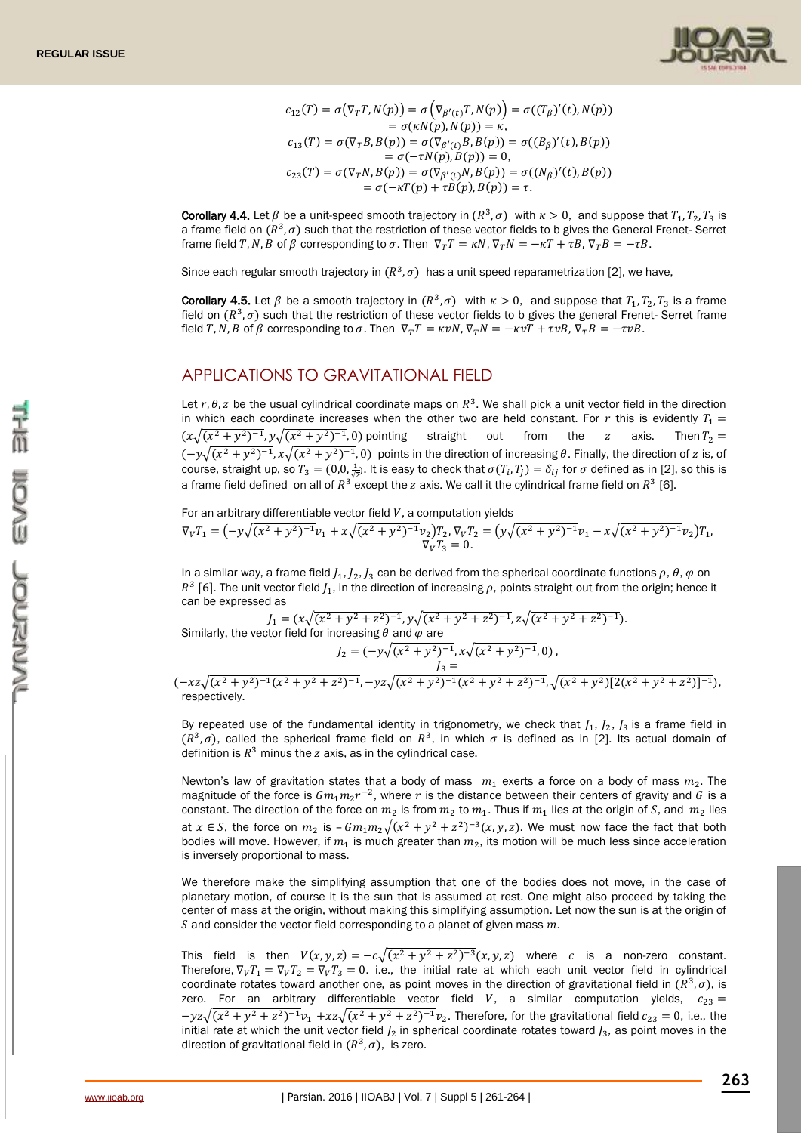

$$
c_{12}(T) = \sigma(\nabla_T T, N(p)) = \sigma(\nabla_{\beta'(t)} T, N(p)) = \sigma((T_{\beta})'(t), N(p))
$$
  
\n
$$
= \sigma(\kappa N(p), N(p)) = \kappa,
$$
  
\n
$$
c_{13}(T) = \sigma(\nabla_T B, B(p)) = \sigma(\nabla_{\beta'(t)} B, B(p)) = \sigma((B_{\beta})'(t), B(p))
$$
  
\n
$$
= \sigma(-\tau N(p), B(p)) = 0,
$$
  
\n
$$
c_{23}(T) = \sigma(\nabla_T N, B(p)) = \sigma(\nabla_{\beta'(t)} N, B(p)) = \sigma((N_{\beta})'(t), B(p))
$$
  
\n
$$
= \sigma(-\kappa T(p) + \tau B(p), B(p)) = \tau.
$$

**Corollary 4.4.** Let  $\beta$  be a unit-speed smooth trajectory in  $(R^3,\sigma)$  with  $\kappa > 0$ , and suppose that  $T_1, T_2, T_3$  is a frame field on  $(R^3, \sigma)$  such that the restriction of these vector fields to b gives the General Frenet-Serret frame field T, N, B of  $\beta$  corresponding to  $\sigma$ . Then  $\nabla_T T = \kappa N$ ,  $\nabla_T N = -\kappa T + \tau B$ ,  $\nabla_T B = -\tau B$ .

Since each regular smooth trajectory in  $(R^3,\sigma)$  has a unit speed reparametrization [2], we have,

**Corollary 4.5.** Let  $\beta$  be a smooth trajectory in  $(R^3, \sigma)$  with  $\kappa > 0$ , and suppose that  $T_1, T_2, T_3$  is a frame field on  $(R^3, \sigma)$  such that the restriction of these vector fields to b gives the general Frenet- Serret frame field T, N, B of  $\beta$  corresponding to  $\sigma$ . Then  $\nabla_T T = \kappa v N$ ,  $\nabla_T N = -\kappa v T + \tau v B$ ,  $\nabla_T B = -\tau v B$ .

### APPLICATIONS TO GRAVITATIONAL FIELD

Let r,  $\theta$ , z be the usual cylindrical coordinate maps on  $R^3$ . We shall pick a unit vector field in the direction in which each coordinate increases when the other two are held constant. For r this is evidently  $T_1$  =  $(x\sqrt{(x^2+y^2)^{-1}}, y\sqrt{(x^2+y^2)^{-1}}, 0)$  pointing straight out from the z axis. Then  $T_2 =$  $(-y\sqrt{(x^2+y^2)^{-1}}, x\sqrt{(x^2+y^2)^{-1}}, 0)$  points in the direction of increasing  $\theta$ . Finally, the direction of z is, of course, straight up, so  $T_3=(0,0,\frac{1}{\sqrt{2}}).$  It is easy to check that  $\sigma(T_i,T_j)=\delta_{ij}$  for  $\sigma$  defined as in [2], so this is a frame field defined on all of  $R^3$  except the z axis. We call it the cylindrical frame field on  $R^3$  [6].

For an arbitrary differentiable vector field  $V$ , a computation yields

$$
\nabla_V T_1 = \left(-y\sqrt{(x^2+y^2)^{-1}}v_1 + x\sqrt{(x^2+y^2)^{-1}}v_2\right)T_2, \nabla_V T_2 = \left(y\sqrt{(x^2+y^2)^{-1}}v_1 - x\sqrt{(x^2+y^2)^{-1}}v_2\right)T_1, \nabla_V T_3 = 0.
$$

In a similar way, a frame field  $J_1$ ,  $J_2$ ,  $J_3$  can be derived from the spherical coordinate functions  $\rho$ ,  $\theta$ ,  $\varphi$  on  $R^3$  [6]. The unit vector field  $J_1$ , in the direction of increasing  $\rho$ , points straight out from the origin; hence it can be expressed as

$$
J_1 = (x\sqrt{(x^2 + y^2 + z^2)^{-1}}, y\sqrt{(x^2 + y^2 + z^2)^{-1}}, z\sqrt{(x^2 + y^2 + z^2)^{-1}}).
$$
  
\nSimilarly, the vector field for increasing  $\theta$  and  $\varphi$  are  
\n
$$
J_2 = (-y\sqrt{(x^2 + y^2)^{-1}}, x\sqrt{(x^2 + y^2)^{-1}}, 0),
$$
\n
$$
J_3 =
$$
\n
$$
-xz\sqrt{(x^2 + y^2)^{-1}(x^2 + y^2 + z^2)^{-1}}, -yz\sqrt{(x^2 + y^2)^{-1}(x^2 + y^2 + z^2)^{-1}}, \sqrt{(x^2 + y^2)[2(x^2 + y^2 + z^2)]^{-1}}),
$$
\nrespectively.

By repeated use of the fundamental identity in trigonometry, we check that  $J_1$ ,  $J_2$ ,  $J_3$  is a frame field in  $(R^3, \sigma)$ , called the spherical frame field on  $R^3$ , in which  $\sigma$  is defined as in [2]. Its actual domain of definition is  $R^3$  minus the z axis, as in the cylindrical case.

Newton's law of gravitation states that a body of mass  $m_1$  exerts a force on a body of mass  $m_2$ . The magnitude of the force is  $Gm_1m_2r^{-2}$ , where  $r$  is the distance between their centers of gravity and  $G$  is a constant. The direction of the force on  $m_2$  is from  $m_2$  to  $m_1$ . Thus if  $m_1$  lies at the origin of S, and  $m_2$  lies at *x* ∈ *S*, the force on  $m_2$  is  $-Gm_1m_2\sqrt{(x^2 + y^2 + z^2)^{-3}(x, y, z)}$ . We must now face the fact that both bodies will move. However, if  $m_1$  is much greater than  $m_2$ , its motion will be much less since acceleration is inversely proportional to mass.

We therefore make the simplifying assumption that one of the bodies does not move, in the case of planetary motion, of course it is the sun that is assumed at rest. One might also proceed by taking the center of mass at the origin, without making this simplifying assumption. Let now the sun is at the origin of  $S$  and consider the vector field corresponding to a planet of given mass  $m$ .

This field is then  $V(x, y, z) = -c\sqrt{(x^2 + y^2 + z^2)^{-3}(x, y, z)}$  where c is a non-zero constant. Therefore,  $\nabla_V T_1 = \nabla_V T_2 = \nabla_V T_3 = 0$ . i.e., the initial rate at which each unit vector field in cylindrical coordinate rotates toward another one, as point moves in the direction of gravitational field in  $(R^3, \sigma)$ , is zero. For an arbitrary differentiable vector field V, a similar computation yields,  $c_{23} =$  $-yz\sqrt{(x^2+y^2+z^2)^{-1}v_1+xz\sqrt{(x^2+y^2+z^2)^{-1}v_2}$ . Therefore, for the gravitational field  $c_{23}=0$ , i.e., the initial rate at which the unit vector field  $J_2$  in spherical coordinate rotates toward  $J_3$ , as point moves in the direction of gravitational field in  $(R^3, \sigma)$ , is zero.

 $($   $-$